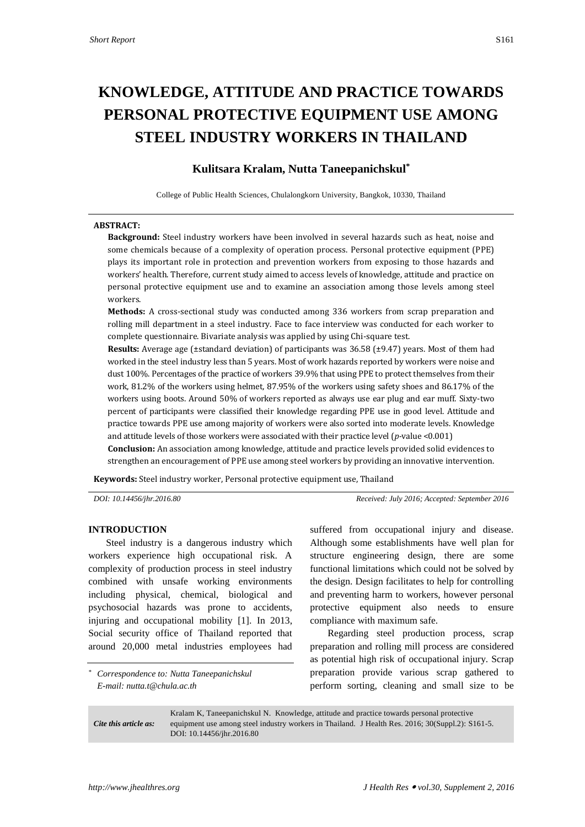# **KNOWLEDGE, ATTITUDE AND PRACTICE TOWARDS PERSONAL PROTECTIVE EQUIPMENT USE AMONG STEEL INDUSTRY WORKERS IN THAILAND**

# **Kulitsara Kralam, Nutta Taneepanichskul\***

College of Public Health Sciences, Chulalongkorn University, Bangkok, 10330, Thailand

#### **ABSTRACT:**

**Background:** Steel industry workers have been involved in several hazards such as heat, noise and some chemicals because of a complexity of operation process. Personal protective equipment (PPE) plays its important role in protection and prevention workers from exposing to those hazards and workers' health. Therefore, current study aimed to access levels of knowledge, attitude and practice on personal protective equipment use and to examine an association among those levels among steel workers.

**Methods:** A cross-sectional study was conducted among 336 workers from scrap preparation and rolling mill department in a steel industry. Face to face interview was conducted for each worker to complete questionnaire. Bivariate analysis was applied by using Chi-square test.

**Results:** Average age (±standard deviation) of participants was 36.58 (±9.47) years. Most of them had worked in the steel industry less than 5 years. Most of work hazards reported by workers were noise and dust 100%. Percentages of the practice of workers 39.9% that using PPE to protect themselves from their work, 81.2% of the workers using helmet, 87.95% of the workers using safety shoes and 86.17% of the workers using boots. Around 50% of workers reported as always use ear plug and ear muff. Sixty-two percent of participants were classified their knowledge regarding PPE use in good level. Attitude and practice towards PPE use among majority of workers were also sorted into moderate levels. Knowledge and attitude levels of those workers were associated with their practice level (*p-*value <0.001)

**Conclusion:** An association among knowledge, attitude and practice levels provided solid evidences to strengthen an encouragement of PPE use among steel workers by providing an innovative intervention.

**Keywords:** Steel industry worker, Personal protective equipment use, Thailand

*DOI: 10.14456/jhr.2016.80 Received: July 2016; Accepted: September 2016*

#### **INTRODUCTION**

Steel industry is a dangerous industry which workers experience high occupational risk. A complexity of production process in steel industry combined with unsafe working environments including physical, chemical, biological and psychosocial hazards was prone to accidents, injuring and occupational mobility [\[1\]](#page-4-0). In 2013, Social security office of Thailand reported that around 20,000 metal industries employees had

*\* Correspondence to: Nutta Taneepanichskul E-mail: nutta.t@chula.ac.th*

suffered from occupational injury and disease. Although some establishments have well plan for structure engineering design, there are some functional limitations which could not be solved by the design. Design facilitates to help for controlling and preventing harm to workers, however personal protective equipment also needs to ensure compliance with maximum safe.

Regarding steel production process, scrap preparation and rolling mill process are considered as potential high risk of occupational injury. Scrap preparation provide various scrap gathered to perform sorting, cleaning and small size to be

*Cite this article as:* Kralam K, Taneepanichskul N. Knowledge, attitude and practice towards personal protective equipment use among steel industry workers in Thailand. J Health Res. 2016; 30(Suppl.2): S161-5. DOI: 10.14456/jhr.2016.80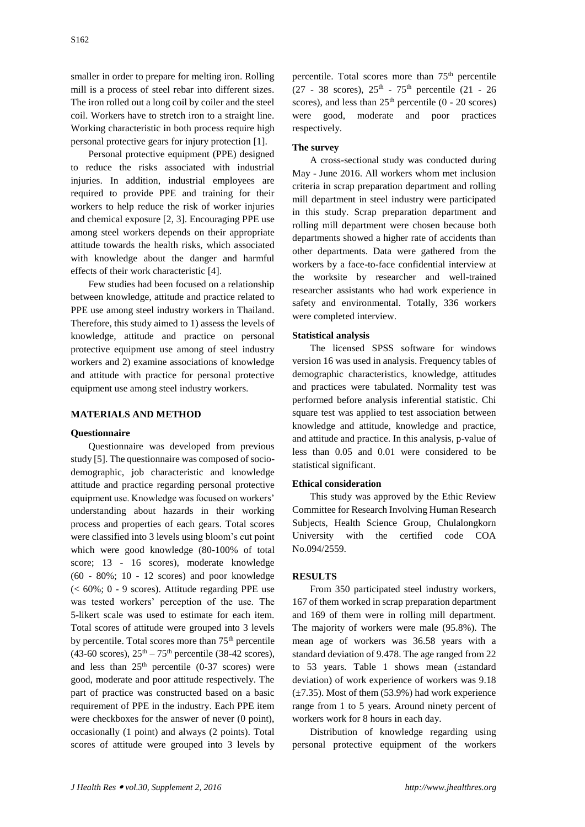smaller in order to prepare for melting iron. Rolling mill is a process of steel rebar into different sizes. The iron rolled out a long coil by coiler and the steel coil. Workers have to stretch iron to a straight line. Working characteristic in both process require high personal protective gears for injury protection [\[1\]](#page-4-0).

Personal protective equipment (PPE) designed to reduce the risks associated with industrial injuries. In addition, industrial employees are required to provide PPE and training for their workers to help reduce the risk of worker injuries and chemical exposure [\[2,](#page-4-1) [3\]](#page-4-2). Encouraging PPE use among steel workers depends on their appropriate attitude towards the health risks, which associated with knowledge about the danger and harmful effects of their work characteristic [\[4\]](#page-4-3).

Few studies had been focused on a relationship between knowledge, attitude and practice related to PPE use among steel industry workers in Thailand. Therefore, this study aimed to 1) assess the levels of knowledge, attitude and practice on personal protective equipment use among of steel industry workers and 2) examine associations of knowledge and attitude with practice for personal protective equipment use among steel industry workers.

# **MATERIALS AND METHOD**

#### **Questionnaire**

Questionnaire was developed from previous study [5]. The questionnaire was composed of sociodemographic, job characteristic and knowledge attitude and practice regarding personal protective equipment use. Knowledge was focused on workers' understanding about hazards in their working process and properties of each gears. Total scores were classified into 3 levels using bloom's cut point which were good knowledge (80-100% of total score; 13 - 16 scores), moderate knowledge  $(60 - 80\%; 10 - 12$  scores) and poor knowledge (< 60%; 0 - 9 scores). Attitude regarding PPE use was tested workers' perception of the use. The 5-likert scale was used to estimate for each item. Total scores of attitude were grouped into 3 levels by percentile. Total scores more than  $75<sup>th</sup>$  percentile  $(43-60 \text{ scores})$ ,  $25^{\text{th}} - 75^{\text{th}}$  percentile  $(38-42 \text{ scores})$ , and less than  $25<sup>th</sup>$  percentile (0-37 scores) were good, moderate and poor attitude respectively. The part of practice was constructed based on a basic requirement of PPE in the industry. Each PPE item were checkboxes for the answer of never  $(0 \text{ point})$ , occasionally (1 point) and always (2 points). Total scores of attitude were grouped into 3 levels by

percentile. Total scores more than 75<sup>th</sup> percentile  $(27 - 38 \text{ scores}), 25^{\text{th}} - 75^{\text{th}} \text{ percentile} (21 - 26)$ scores), and less than  $25<sup>th</sup>$  percentile (0 - 20 scores) were good, moderate and poor practices respectively.

#### **The survey**

A cross-sectional study was conducted during May - June 2016. All workers whom met inclusion criteria in scrap preparation department and rolling mill department in steel industry were participated in this study. Scrap preparation department and rolling mill department were chosen because both departments showed a higher rate of accidents than other departments. Data were gathered from the workers by a face-to-face confidential interview at the worksite by researcher and well-trained researcher assistants who had work experience in safety and environmental. Totally, 336 workers were completed interview.

#### **Statistical analysis**

The licensed SPSS software for windows version 16 was used in analysis. Frequency tables of demographic characteristics, knowledge, attitudes and practices were tabulated. Normality test was performed before analysis inferential statistic. Chi square test was applied to test association between knowledge and attitude, knowledge and practice, and attitude and practice. In this analysis, p-value of less than 0.05 and 0.01 were considered to be statistical significant.

#### **Ethical consideration**

This study was approved by the Ethic Review Committee for Research Involving Human Research Subjects, Health Science Group, Chulalongkorn University with the certified code COA No.094/2559.

#### **RESULTS**

From 350 participated steel industry workers, 167 of them worked in scrap preparation department and 169 of them were in rolling mill department. The majority of workers were male (95.8%). The mean age of workers was 36.58 years with a standard deviation of 9.478. The age ranged from 22 to 53 years. Table 1 shows mean (±standard deviation) of work experience of workers was 9.18  $(\pm 7.35)$ . Most of them (53.9%) had work experience range from 1 to 5 years. Around ninety percent of workers work for 8 hours in each day.

Distribution of knowledge regarding using personal protective equipment of the workers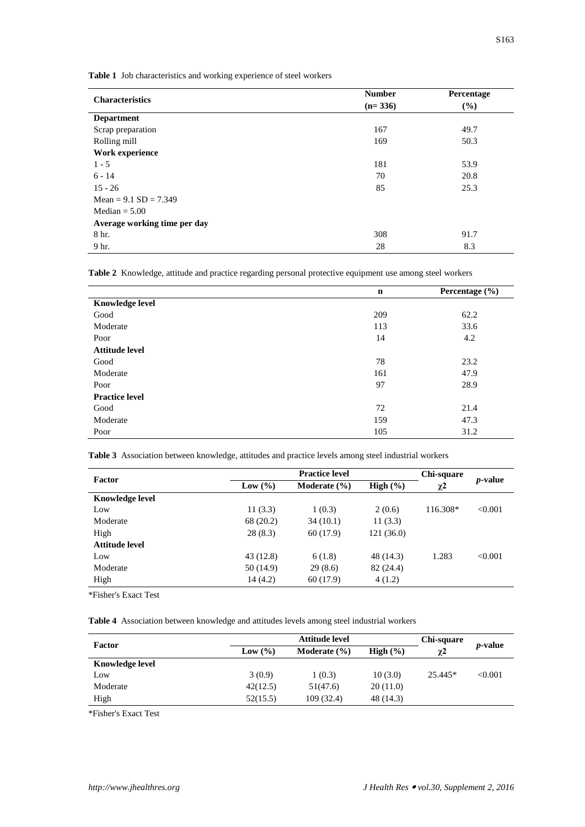**Table 1** Job characteristics and working experience of steel workers

| <b>Characteristics</b>       | <b>Number</b> | Percentage |  |
|------------------------------|---------------|------------|--|
|                              | $(n=336)$     | (%)        |  |
| <b>Department</b>            |               |            |  |
| Scrap preparation            | 167           | 49.7       |  |
| Rolling mill                 | 169           | 50.3       |  |
| Work experience              |               |            |  |
| $1 - 5$                      | 181           | 53.9       |  |
| $6 - 14$                     | 70            | 20.8       |  |
| $15 - 26$                    | 85            | 25.3       |  |
| Mean = $9.1$ SD = $7.349$    |               |            |  |
| Median $= 5.00$              |               |            |  |
| Average working time per day |               |            |  |
| 8 hr.                        | 308           | 91.7       |  |
| 9 hr.                        | 28            | 8.3        |  |

**Table 2** Knowledge, attitude and practice regarding personal protective equipment use among steel workers

|                        | $\mathbf n$ | Percentage $(\% )$ |  |
|------------------------|-------------|--------------------|--|
| <b>Knowledge level</b> |             |                    |  |
| Good                   | 209         | 62.2               |  |
| Moderate               | 113         | 33.6               |  |
| Poor                   | 14          | 4.2                |  |
| <b>Attitude level</b>  |             |                    |  |
| Good                   | 78          | 23.2               |  |
| Moderate               | 161         | 47.9               |  |
| Poor                   | 97          | 28.9               |  |
| <b>Practice level</b>  |             |                    |  |
| Good                   | 72          | 21.4               |  |
| Moderate               | 159         | 47.3               |  |
| Poor                   | 105         | 31.2               |  |

**Table 3** Association between knowledge, attitudes and practice levels among steel industrial workers

| Factor                 | <b>Practice level</b> |                  | Chi-square   |          |                 |
|------------------------|-----------------------|------------------|--------------|----------|-----------------|
|                        | Low $(\% )$           | Moderate $(\% )$ | High $(\% )$ | $\chi^2$ | <i>p</i> -value |
| <b>Knowledge level</b> |                       |                  |              |          |                 |
| Low                    | 11(3.3)               | 1(0.3)           | 2(0.6)       | 116.308* | < 0.001         |
| Moderate               | 68 (20.2)             | 34(10.1)         | 11(3.3)      |          |                 |
| High                   | 28(8.3)               | 60(17.9)         | 121(36.0)    |          |                 |
| Attitude level         |                       |                  |              |          |                 |
| Low                    | 43(12.8)              | 6(1.8)           | 48 (14.3)    | 1.283    | < 0.001         |
| Moderate               | 50 (14.9)             | 29(8.6)          | 82 (24.4)    |          |                 |
| High                   | 14(4.2)               | 60(17.9)         | 4(1.2)       |          |                 |
|                        |                       |                  |              |          |                 |

\*Fisher's Exact Test

**Table 4** Association between knowledge and attitudes levels among steel industrial workers

| Factor                 |             | Attitude level   |              |           |                 |
|------------------------|-------------|------------------|--------------|-----------|-----------------|
|                        | Low $(\% )$ | Moderate $(\% )$ | High $(\% )$ | $\chi^2$  | <i>p</i> -value |
| <b>Knowledge level</b> |             |                  |              |           |                 |
| Low                    | 3(0.9)      | 1(0.3)           | 10(3.0)      | $25.445*$ | < 0.001         |
| Moderate               | 42(12.5)    | 51(47.6)         | 20(11.0)     |           |                 |
| High                   | 52(15.5)    | 109(32.4)        | 48 (14.3)    |           |                 |

\*Fisher's Exact Test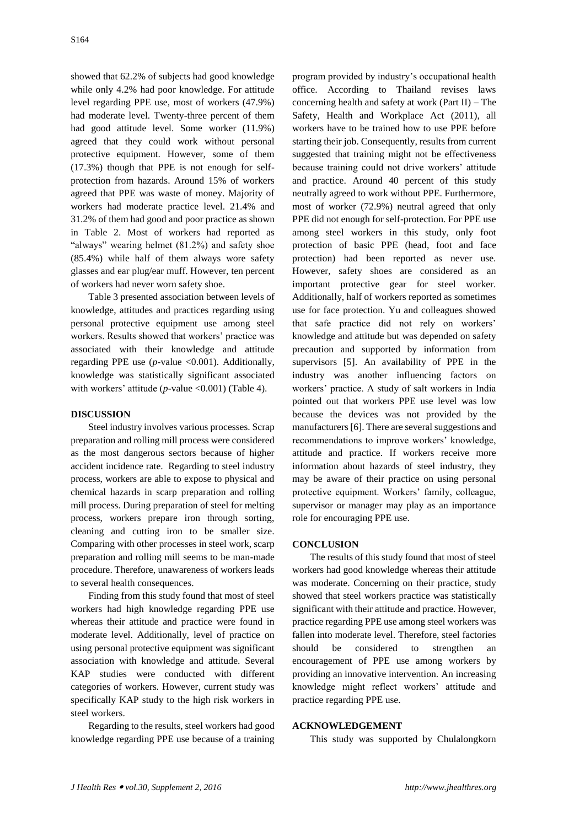showed that 62.2% of subjects had good knowledge while only 4.2% had poor knowledge. For attitude level regarding PPE use, most of workers (47.9%) had moderate level. Twenty-three percent of them had good attitude level. Some worker (11.9%) agreed that they could work without personal protective equipment. However, some of them (17.3%) though that PPE is not enough for selfprotection from hazards. Around 15% of workers agreed that PPE was waste of money. Majority of workers had moderate practice level. 21.4% and 31.2% of them had good and poor practice as shown in Table 2. Most of workers had reported as "always" wearing helmet (81.2%) and safety shoe (85.4%) while half of them always wore safety glasses and ear plug/ear muff. However, ten percent of workers had never worn safety shoe.

Table 3 presented association between levels of knowledge, attitudes and practices regarding using personal protective equipment use among steel workers. Results showed that workers' practice was associated with their knowledge and attitude regarding PPE use (*p-*value <0.001). Additionally, knowledge was statistically significant associated with workers' attitude (*p*-value <0.001) (Table 4).

# **DISCUSSION**

Steel industry involves various processes. Scrap preparation and rolling mill process were considered as the most dangerous sectors because of higher accident incidence rate. Regarding to steel industry process, workers are able to expose to physical and chemical hazards in scarp preparation and rolling mill process. During preparation of steel for melting process, workers prepare iron through sorting, cleaning and cutting iron to be smaller size. Comparing with other processes in steel work, scarp preparation and rolling mill seems to be man-made procedure. Therefore, unawareness of workers leads to several health consequences.

Finding from this study found that most of steel workers had high knowledge regarding PPE use whereas their attitude and practice were found in moderate level. Additionally, level of practice on using personal protective equipment was significant association with knowledge and attitude. Several KAP studies were conducted with different categories of workers. However, current study was specifically KAP study to the high risk workers in steel workers.

Regarding to the results, steel workers had good knowledge regarding PPE use because of a training

program provided by industry's occupational health office. According to Thailand revises laws concerning health and safety at work (Part II) – The Safety, Health and Workplace Act (2011), all workers have to be trained how to use PPE before starting their job. Consequently, results from current suggested that training might not be effectiveness because training could not drive workers' attitude and practice. Around 40 percent of this study neutrally agreed to work without PPE. Furthermore, most of worker (72.9%) neutral agreed that only PPE did not enough for self-protection. For PPE use among steel workers in this study, only foot protection of basic PPE (head, foot and face protection) had been reported as never use. However, safety shoes are considered as an important protective gear for steel worker. Additionally, half of workers reported as sometimes use for face protection. Yu and colleagues showed that safe practice did not rely on workers' knowledge and attitude but was depended on safety precaution and supported by information from supervisors [\[5\]](#page-4-4). An availability of PPE in the industry was another influencing factors on workers' practice. A study of salt workers in India pointed out that workers PPE use level was low because the devices was not provided by the manufacturers [\[6\]](#page-4-5). There are several suggestions and recommendations to improve workers' knowledge, attitude and practice. If workers receive more information about hazards of steel industry, they may be aware of their practice on using personal protective equipment. Workers' family, colleague, supervisor or manager may play as an importance role for encouraging PPE use.

## **CONCLUSION**

The results of this study found that most of steel workers had good knowledge whereas their attitude was moderate. Concerning on their practice, study showed that steel workers practice was statistically significant with their attitude and practice. However, practice regarding PPE use among steel workers was fallen into moderate level. Therefore, steel factories should be considered to strengthen an encouragement of PPE use among workers by providing an innovative intervention. An increasing knowledge might reflect workers' attitude and practice regarding PPE use.

# **ACKNOWLEDGEMENT**

This study was supported by Chulalongkorn